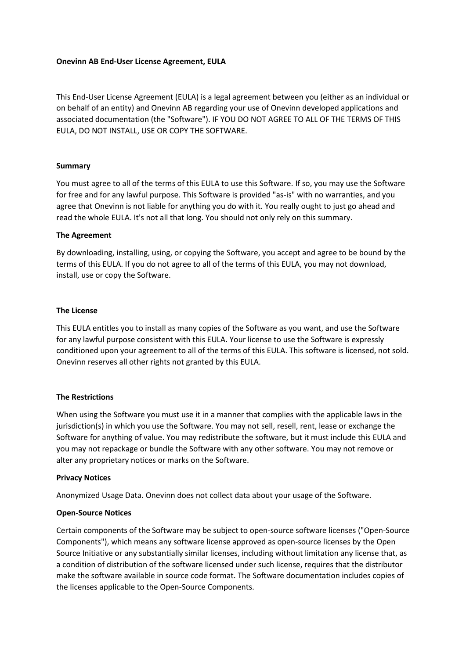#### **Onevinn AB End-User License Agreement, EULA**

This End-User License Agreement (EULA) is a legal agreement between you (either as an individual or on behalf of an entity) and Onevinn AB regarding your use of Onevinn developed applications and associated documentation (the "Software"). IF YOU DO NOT AGREE TO ALL OF THE TERMS OF THIS EULA, DO NOT INSTALL, USE OR COPY THE SOFTWARE.

## **Summary**

You must agree to all of the terms of this EULA to use this Software. If so, you may use the Software for free and for any lawful purpose. This Software is provided "as-is" with no warranties, and you agree that Onevinn is not liable for anything you do with it. You really ought to just go ahead and read the whole EULA. It's not all that long. You should not only rely on this summary.

## **The Agreement**

By downloading, installing, using, or copying the Software, you accept and agree to be bound by the terms of this EULA. If you do not agree to all of the terms of this EULA, you may not download, install, use or copy the Software.

## **The License**

This EULA entitles you to install as many copies of the Software as you want, and use the Software for any lawful purpose consistent with this EULA. Your license to use the Software is expressly conditioned upon your agreement to all of the terms of this EULA. This software is licensed, not sold. Onevinn reserves all other rights not granted by this EULA.

#### **The Restrictions**

When using the Software you must use it in a manner that complies with the applicable laws in the jurisdiction(s) in which you use the Software. You may not sell, resell, rent, lease or exchange the Software for anything of value. You may redistribute the software, but it must include this EULA and you may not repackage or bundle the Software with any other software. You may not remove or alter any proprietary notices or marks on the Software.

#### **Privacy Notices**

Anonymized Usage Data. Onevinn does not collect data about your usage of the Software.

# **Open-Source Notices**

Certain components of the Software may be subject to open-source software licenses ("Open-Source Components"), which means any software license approved as open-source licenses by the Open Source Initiative or any substantially similar licenses, including without limitation any license that, as a condition of distribution of the software licensed under such license, requires that the distributor make the software available in source code format. The Software documentation includes copies of the licenses applicable to the Open-Source Components.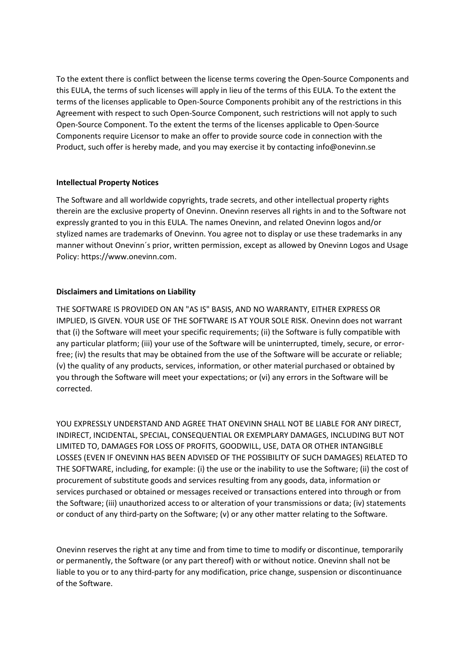To the extent there is conflict between the license terms covering the Open-Source Components and this EULA, the terms of such licenses will apply in lieu of the terms of this EULA. To the extent the terms of the licenses applicable to Open-Source Components prohibit any of the restrictions in this Agreement with respect to such Open-Source Component, such restrictions will not apply to such Open-Source Component. To the extent the terms of the licenses applicable to Open-Source Components require Licensor to make an offer to provide source code in connection with the Product, such offer is hereby made, and you may exercise it by contacting info@onevinn.se

#### **Intellectual Property Notices**

The Software and all worldwide copyrights, trade secrets, and other intellectual property rights therein are the exclusive property of Onevinn. Onevinn reserves all rights in and to the Software not expressly granted to you in this EULA. The names Onevinn, and related Onevinn logos and/or stylized names are trademarks of Onevinn. You agree not to display or use these trademarks in any manner without Onevinn´s prior, written permission, except as allowed by Onevinn Logos and Usage Policy: https://www.onevinn.com.

# **Disclaimers and Limitations on Liability**

THE SOFTWARE IS PROVIDED ON AN "AS IS" BASIS, AND NO WARRANTY, EITHER EXPRESS OR IMPLIED, IS GIVEN. YOUR USE OF THE SOFTWARE IS AT YOUR SOLE RISK. Onevinn does not warrant that (i) the Software will meet your specific requirements; (ii) the Software is fully compatible with any particular platform; (iii) your use of the Software will be uninterrupted, timely, secure, or errorfree; (iv) the results that may be obtained from the use of the Software will be accurate or reliable; (v) the quality of any products, services, information, or other material purchased or obtained by you through the Software will meet your expectations; or (vi) any errors in the Software will be corrected.

YOU EXPRESSLY UNDERSTAND AND AGREE THAT ONEVINN SHALL NOT BE LIABLE FOR ANY DIRECT, INDIRECT, INCIDENTAL, SPECIAL, CONSEQUENTIAL OR EXEMPLARY DAMAGES, INCLUDING BUT NOT LIMITED TO, DAMAGES FOR LOSS OF PROFITS, GOODWILL, USE, DATA OR OTHER INTANGIBLE LOSSES (EVEN IF ONEVINN HAS BEEN ADVISED OF THE POSSIBILITY OF SUCH DAMAGES) RELATED TO THE SOFTWARE, including, for example: (i) the use or the inability to use the Software; (ii) the cost of procurement of substitute goods and services resulting from any goods, data, information or services purchased or obtained or messages received or transactions entered into through or from the Software; (iii) unauthorized access to or alteration of your transmissions or data; (iv) statements or conduct of any third-party on the Software; (v) or any other matter relating to the Software.

Onevinn reserves the right at any time and from time to time to modify or discontinue, temporarily or permanently, the Software (or any part thereof) with or without notice. Onevinn shall not be liable to you or to any third-party for any modification, price change, suspension or discontinuance of the Software.